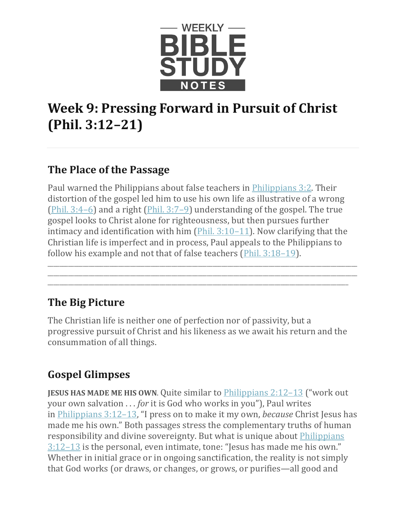

# **Week 9: Pressing Forward in Pursuit of Christ (Phil. 3:12–21)**

#### **The Place of the Passage**

Paul warned the Philippians about false teachers in [Philippians 3:2.](https://www.esv.org/Philippians%203%3A2/) Their distortion of the gospel led him to use his own life as illustrative of a wrong (Phil.  $3:4-6$ ) and a right (Phil.  $3:7-9$ ) understanding of the gospel. The true gospel looks to Christ alone for righteousness, but then pursues further intimacy and identification with him  $(Phi. 3:10-11)$ . Now clarifying that the Christian life is imperfect and in process, Paul appeals to the Philippians to follow his example and not that of false teachers [\(Phil. 3:18–19\)](https://www.esv.org/Phil.%203%3A18%E2%80%9319/).

\_\_\_\_\_\_\_\_\_\_\_\_\_\_\_\_\_\_\_\_\_\_\_\_\_\_\_\_\_\_\_\_\_\_\_\_\_\_\_\_\_\_\_\_\_\_\_\_\_\_\_\_\_\_\_\_\_\_\_\_\_\_\_\_\_\_\_\_\_\_\_\_\_\_\_\_\_\_\_\_\_\_\_\_\_\_\_\_\_\_\_\_\_\_\_\_\_\_\_\_\_\_\_\_\_ \_\_\_\_\_\_\_\_\_\_\_\_\_\_\_\_\_\_\_\_\_\_\_\_\_\_\_\_\_\_\_\_\_\_\_\_\_\_\_\_\_\_\_\_\_\_\_\_\_\_\_\_\_\_\_\_\_\_\_\_\_\_\_\_\_\_\_\_\_\_\_\_\_\_\_\_\_\_\_\_\_\_\_\_\_\_\_\_\_\_\_\_\_\_\_\_\_\_\_\_\_\_\_\_\_ \_\_\_\_\_\_\_\_\_\_\_\_\_\_\_\_\_\_\_\_\_\_\_\_\_\_\_\_\_\_\_\_\_\_\_\_\_\_\_\_\_\_\_\_\_\_\_\_\_\_\_\_\_\_\_\_\_\_\_\_\_\_\_\_\_\_\_\_\_\_\_\_\_\_\_\_\_\_\_\_\_\_\_\_\_\_\_\_\_\_\_\_\_\_\_\_\_\_\_\_\_\_

## **The Big Picture**

The Christian life is neither one of perfection nor of passivity, but a progressive pursuit of Christ and his likeness as we await his return and the consummation of all things.

## **Gospel Glimpses**

**JESUS HAS MADE ME HIS OWN.** Quite similar to [Philippians 2:12–13](https://www.esv.org/Philippians%202%3A12%E2%80%9313/) ("work out your own salvation . . . *for* it is God who works in you"), Paul writes in [Philippians 3:12–13,](https://www.esv.org/Philippians%203%3A12%E2%80%9313/) "I press on to make it my own, *because* Christ Jesus has made me his own." Both passages stress the complementary truths of human responsibility and divine sovereignty. But what is unique about [Philippians](https://www.esv.org/Philippians%203%3A12%E2%80%9313/)   $3:12-13$  is the personal, even intimate, tone: "Jesus has made me his own." Whether in initial grace or in ongoing sanctification, the reality is not simply that God works (or draws, or changes, or grows, or purifies—all good and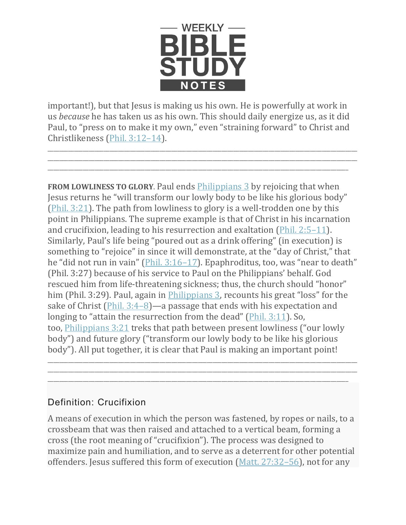

important!), but that Jesus is making us his own. He is powerfully at work in us *because* he has taken us as his own. This should daily energize us, as it did Paul, to "press on to make it my own," even "straining forward" to Christ and Christlikeness [\(Phil. 3:12–14\)](https://www.esv.org/Phil.%203%3A12%E2%80%9314/).

\_\_\_\_\_\_\_\_\_\_\_\_\_\_\_\_\_\_\_\_\_\_\_\_\_\_\_\_\_\_\_\_\_\_\_\_\_\_\_\_\_\_\_\_\_\_\_\_\_\_\_\_\_\_\_\_\_\_\_\_\_\_\_\_\_\_\_\_\_\_\_\_\_\_\_\_\_\_\_\_\_\_\_\_\_\_\_\_\_\_\_\_\_\_\_\_\_\_\_\_\_\_\_\_\_ \_\_\_\_\_\_\_\_\_\_\_\_\_\_\_\_\_\_\_\_\_\_\_\_\_\_\_\_\_\_\_\_\_\_\_\_\_\_\_\_\_\_\_\_\_\_\_\_\_\_\_\_\_\_\_\_\_\_\_\_\_\_\_\_\_\_\_\_\_\_\_\_\_\_\_\_\_\_\_\_\_\_\_\_\_\_\_\_\_\_\_\_\_\_\_\_\_\_\_\_\_\_\_\_\_ \_\_\_\_\_\_\_\_\_\_\_\_\_\_\_\_\_\_\_\_\_\_\_\_\_\_\_\_\_\_\_\_\_\_\_\_\_\_\_\_\_\_\_\_\_\_\_\_\_\_\_\_\_\_\_\_\_\_\_\_\_\_\_\_\_\_\_\_\_\_\_\_\_\_\_\_\_\_\_\_\_\_\_\_\_\_\_\_\_\_\_\_\_\_\_\_\_\_\_\_\_\_

**FROM LOWLINESS TO GLORY**. Paul ends [Philippians 3](https://www.esv.org/Philippians%203/) by rejoicing that when Jesus returns he "will transform our lowly body to be like his glorious body" [\(Phil. 3:21\)](https://www.esv.org/Phil.%203%3A21/). The path from lowliness to glory is a well-trodden one by this point in Philippians. The supreme example is that of Christ in his incarnation and crucifixion, leading to his resurrection and exaltation [\(Phil. 2:5–11\)](https://www.esv.org/Phil.%202%3A5%E2%80%9311/). Similarly, Paul's life being "poured out as a drink offering" (in execution) is something to "rejoice" in since it will demonstrate, at the "day of Christ," that he "did not run in vain" [\(Phil. 3:16–17\)](https://www.esv.org/Phil.%203%3A16%E2%80%9317/). Epaphroditus, too, was "near to death" (Phil. 3:27) because of his service to Paul on the Philippians' behalf. God rescued him from life-threatening sickness; thus, the church should "honor" him (Phil. 3:29). Paul, again in *Philippians 3*, recounts his great "loss" for the sake of Christ [\(Phil. 3:4–8\)](https://www.esv.org/Phil.%203%3A4%E2%80%938/)—a passage that ends with his expectation and longing to "attain the resurrection from the dead" [\(Phil. 3:11\)](https://www.esv.org/Phil.%203%3A11/). So, too, [Philippians 3:21](https://www.esv.org/Philippians%203%3A21/) treks that path between present lowliness ("our lowly body") and future glory ("transform our lowly body to be like his glorious body"). All put together, it is clear that Paul is making an important point!

#### Definition: Crucifixion

A means of execution in which the person was fastened, by ropes or nails, to a crossbeam that was then raised and attached to a vertical beam, forming a cross (the root meaning of "crucifixion"). The process was designed to maximize pain and humiliation, and to serve as a deterrent for other potential offenders. Jesus suffered this form of execution [\(Matt. 27:32–56\)](https://www.esv.org/Matt.%2027%3A32%E2%80%9356/), not for any

\_\_\_\_\_\_\_\_\_\_\_\_\_\_\_\_\_\_\_\_\_\_\_\_\_\_\_\_\_\_\_\_\_\_\_\_\_\_\_\_\_\_\_\_\_\_\_\_\_\_\_\_\_\_\_\_\_\_\_\_\_\_\_\_\_\_\_\_\_\_\_\_\_\_\_\_\_\_\_\_\_\_\_\_\_\_\_\_\_\_\_\_\_\_\_\_\_\_\_\_\_\_\_\_\_ \_\_\_\_\_\_\_\_\_\_\_\_\_\_\_\_\_\_\_\_\_\_\_\_\_\_\_\_\_\_\_\_\_\_\_\_\_\_\_\_\_\_\_\_\_\_\_\_\_\_\_\_\_\_\_\_\_\_\_\_\_\_\_\_\_\_\_\_\_\_\_\_\_\_\_\_\_\_\_\_\_\_\_\_\_\_\_\_\_\_\_\_\_\_\_\_\_\_\_\_\_\_\_\_\_ \_\_\_\_\_\_\_\_\_\_\_\_\_\_\_\_\_\_\_\_\_\_\_\_\_\_\_\_\_\_\_\_\_\_\_\_\_\_\_\_\_\_\_\_\_\_\_\_\_\_\_\_\_\_\_\_\_\_\_\_\_\_\_\_\_\_\_\_\_\_\_\_\_\_\_\_\_\_\_\_\_\_\_\_\_\_\_\_\_\_\_\_\_\_\_\_\_\_\_\_\_\_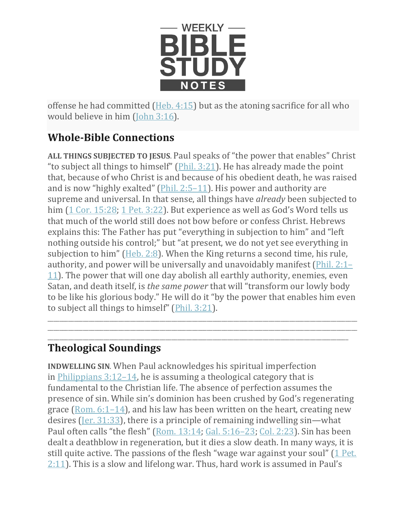

offense he had committed [\(Heb. 4:15\)](https://www.esv.org/Heb.%204%3A15/) but as the atoning sacrifice for all who would believe in him [\(John 3:16\)](https://www.esv.org/John%203%3A16/).

## **Whole-Bible Connections**

**ALL THINGS SUBJECTED TO JESUS**. Paul speaks of "the power that enables" Christ "to subject all things to himself" ( $\frac{Phi.3:21}{Phi.}$  He has already made the point that, because of who Christ is and because of his obedient death, he was raised and is now "highly exalted" [\(Phil. 2:5–11\)](https://www.esv.org/Phil.%202%3A5%E2%80%9311/). His power and authority are supreme and universal. In that sense, all things have *already* been subjected to him  $(1$  Cor. 15:28; [1 Pet. 3:22\)](https://www.esv.org/1%20Pet.%203%3A22/). But experience as well as God's Word tells us that much of the world still does not bow before or confess Christ. Hebrews explains this: The Father has put "everything in subjection to him" and "left nothing outside his control;" but "at present, we do not yet see everything in subjection to him" [\(Heb. 2:8\)](https://www.esv.org/Heb.%202%3A8/). When the King returns a second time, his rule, authority, and power will be universally and unavoidably manifest [\(Phil. 2:1–](https://www.esv.org/Phil.%202%3A1%E2%80%9311/) [11\)](https://www.esv.org/Phil.%202%3A1%E2%80%9311/). The power that will one day abolish all earthly authority, enemies, even Satan, and death itself, is *the same power* that will "transform our lowly body to be like his glorious body." He will do it "by the power that enables him even to subject all things to himself" [\(Phil. 3:21\)](https://www.esv.org/Phil.%203%3A21/).

\_\_\_\_\_\_\_\_\_\_\_\_\_\_\_\_\_\_\_\_\_\_\_\_\_\_\_\_\_\_\_\_\_\_\_\_\_\_\_\_\_\_\_\_\_\_\_\_\_\_\_\_\_\_\_\_\_\_\_\_\_\_\_\_\_\_\_\_\_\_\_\_\_\_\_\_\_\_\_\_\_\_\_\_\_\_\_\_\_\_\_\_\_\_\_\_\_\_\_\_\_\_\_\_\_ \_\_\_\_\_\_\_\_\_\_\_\_\_\_\_\_\_\_\_\_\_\_\_\_\_\_\_\_\_\_\_\_\_\_\_\_\_\_\_\_\_\_\_\_\_\_\_\_\_\_\_\_\_\_\_\_\_\_\_\_\_\_\_\_\_\_\_\_\_\_\_\_\_\_\_\_\_\_\_\_\_\_\_\_\_\_\_\_\_\_\_\_\_\_\_\_\_\_\_\_\_\_\_\_\_

#### \_\_\_\_\_\_\_\_\_\_\_\_\_\_\_\_\_\_\_\_\_\_\_\_\_\_\_\_\_\_\_\_\_\_\_\_\_\_\_\_\_\_\_\_\_\_\_\_\_\_\_\_\_\_\_\_\_\_\_\_\_\_\_\_\_\_\_\_\_\_\_\_\_\_\_\_\_\_\_\_\_\_\_\_\_\_\_\_\_\_\_\_\_\_\_\_\_\_\_\_\_\_ **Theological Soundings**

**INDWELLING SIN**. When Paul acknowledges his spiritual imperfection in [Philippians 3:12–14,](https://www.esv.org/Philippians%203%3A12%E2%80%9314/) he is assuming a theological category that is fundamental to the Christian life. The absence of perfection assumes the presence of sin. While sin's dominion has been crushed by God's regenerating grace [\(Rom. 6:1–14\)](https://www.esv.org/Rom.%206%3A1%E2%80%9314/), and his law has been written on the heart, creating new desires [\(Jer. 31:33\)](https://www.esv.org/Jer.%2031%3A33/), there is a principle of remaining indwelling sin—what Paul often calls "the flesh" [\(Rom. 13:14;](https://www.esv.org/Rom.%2013%3A14/) [Gal. 5:16–23;](https://www.esv.org/Gal.%205%3A16%E2%80%9323/) [Col. 2:23\)](https://www.esv.org/Col.%202%3A23/). Sin has been dealt a deathblow in regeneration, but it dies a slow death. In many ways, it is still quite active. The passions of the flesh "wage war against your soul" [\(1 Pet.](https://www.esv.org/1%20Pet.%202%3A11/)  [2:11\)](https://www.esv.org/1%20Pet.%202%3A11/). This is a slow and lifelong war. Thus, hard work is assumed in Paul's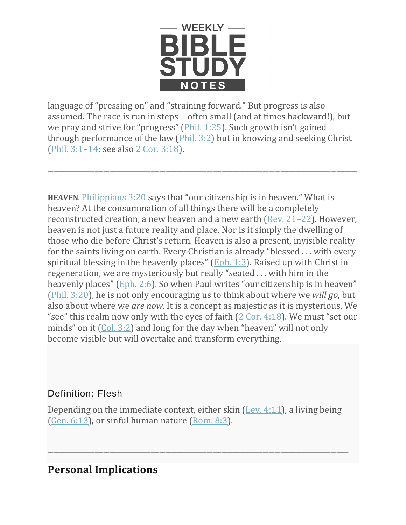

language of "pressing on" and "straining forward." But progress is also assumed. The race is run in steps—often small (and at times backward!), but we pray and strive for "progress" [\(Phil. 1:25\)](https://www.esv.org/Phil.%201%3A25/). Such growth isn't gained through performance of the law [\(Phil. 3:2\)](https://www.esv.org/Phil.%203%3A2/) but in knowing and seeking Christ [\(Phil. 3:1–14;](https://www.esv.org/Phil.%203%3A1%E2%80%9314/) see also [2 Cor. 3:18\)](https://www.esv.org/2%20Cor.%203%3A18/).

\_\_\_\_\_\_\_\_\_\_\_\_\_\_\_\_\_\_\_\_\_\_\_\_\_\_\_\_\_\_\_\_\_\_\_\_\_\_\_\_\_\_\_\_\_\_\_\_\_\_\_\_\_\_\_\_\_\_\_\_\_\_\_\_\_\_\_\_\_\_\_\_\_\_\_\_\_\_\_\_\_\_\_\_\_\_\_\_\_\_\_\_\_\_\_\_\_\_\_\_\_\_\_\_\_ \_\_\_\_\_\_\_\_\_\_\_\_\_\_\_\_\_\_\_\_\_\_\_\_\_\_\_\_\_\_\_\_\_\_\_\_\_\_\_\_\_\_\_\_\_\_\_\_\_\_\_\_\_\_\_\_\_\_\_\_\_\_\_\_\_\_\_\_\_\_\_\_\_\_\_\_\_\_\_\_\_\_\_\_\_\_\_\_\_\_\_\_\_\_\_\_\_\_\_\_\_\_\_\_\_ \_\_\_\_\_\_\_\_\_\_\_\_\_\_\_\_\_\_\_\_\_\_\_\_\_\_\_\_\_\_\_\_\_\_\_\_\_\_\_\_\_\_\_\_\_\_\_\_\_\_\_\_\_\_\_\_\_\_\_\_\_\_\_\_\_\_\_\_\_\_\_\_\_\_\_\_\_\_\_\_\_\_\_\_\_\_\_\_\_\_\_\_\_\_\_\_\_\_\_\_\_\_

**HEAVEN**. [Philippians 3:20](https://www.esv.org/Philippians%203%3A20/) says that "our citizenship is in heaven." What is heaven? At the consummation of all things there will be a completely reconstructed creation, a new heaven and a new earth [\(Rev. 21–22\)](https://www.esv.org/Rev.%2021%E2%80%9322/). However, heaven is not just a future reality and place. Nor is it simply the dwelling of those who die before Christ's return. Heaven is also a present, invisible reality for the saints living on earth. Every Christian is already "blessed . . . with every spiritual blessing in the heavenly places" [\(Eph. 1:3\)](https://www.esv.org/Eph.%201%3A3/). Raised up with Christ in regeneration, we are mysteriously but really "seated . . . with him in the heavenly places" [\(Eph. 2:6\)](https://www.esv.org/Eph.%202%3A6/). So when Paul writes "our citizenship is in heaven" [\(Phil. 3:20\)](https://www.esv.org/Phil.%203%3A20/), he is not only encouraging us to think about where we *will go*, but also about where we *are now*. It is a concept as majestic as it is mysterious. We "see" this realm now only with the eyes of faith  $(2 \text{ Cor. } 4:18)$ . We must "set our minds" on it [\(Col. 3:2\)](https://www.esv.org/Col.%203%3A2/) and long for the day when "heaven" will not only become visible but will overtake and transform everything.

#### Definition: Flesh

Depending on the immediate context, either skin  $($ Lev. 4:11 $)$ , a living being [\(Gen. 6:13\)](https://www.esv.org/Gen.%206%3A13/), or sinful human nature [\(Rom. 8:3\)](https://www.esv.org/Rom.%208%3A3/).

\_\_\_\_\_\_\_\_\_\_\_\_\_\_\_\_\_\_\_\_\_\_\_\_\_\_\_\_\_\_\_\_\_\_\_\_\_\_\_\_\_\_\_\_\_\_\_\_\_\_\_\_\_\_\_\_\_\_\_\_\_\_\_\_\_\_\_\_\_\_\_\_\_\_\_\_\_\_\_\_\_\_\_\_\_\_\_\_\_\_\_\_\_\_\_\_\_\_\_\_\_\_\_\_\_ \_\_\_\_\_\_\_\_\_\_\_\_\_\_\_\_\_\_\_\_\_\_\_\_\_\_\_\_\_\_\_\_\_\_\_\_\_\_\_\_\_\_\_\_\_\_\_\_\_\_\_\_\_\_\_\_\_\_\_\_\_\_\_\_\_\_\_\_\_\_\_\_\_\_\_\_\_\_\_\_\_\_\_\_\_\_\_\_\_\_\_\_\_\_\_\_\_\_\_\_\_\_\_\_\_ \_\_\_\_\_\_\_\_\_\_\_\_\_\_\_\_\_\_\_\_\_\_\_\_\_\_\_\_\_\_\_\_\_\_\_\_\_\_\_\_\_\_\_\_\_\_\_\_\_\_\_\_\_\_\_\_\_\_\_\_\_\_\_\_\_\_\_\_\_\_\_\_\_\_\_\_\_\_\_\_\_\_\_\_\_\_\_\_\_\_\_\_\_\_\_\_\_\_\_\_\_\_

#### **Personal Implications**